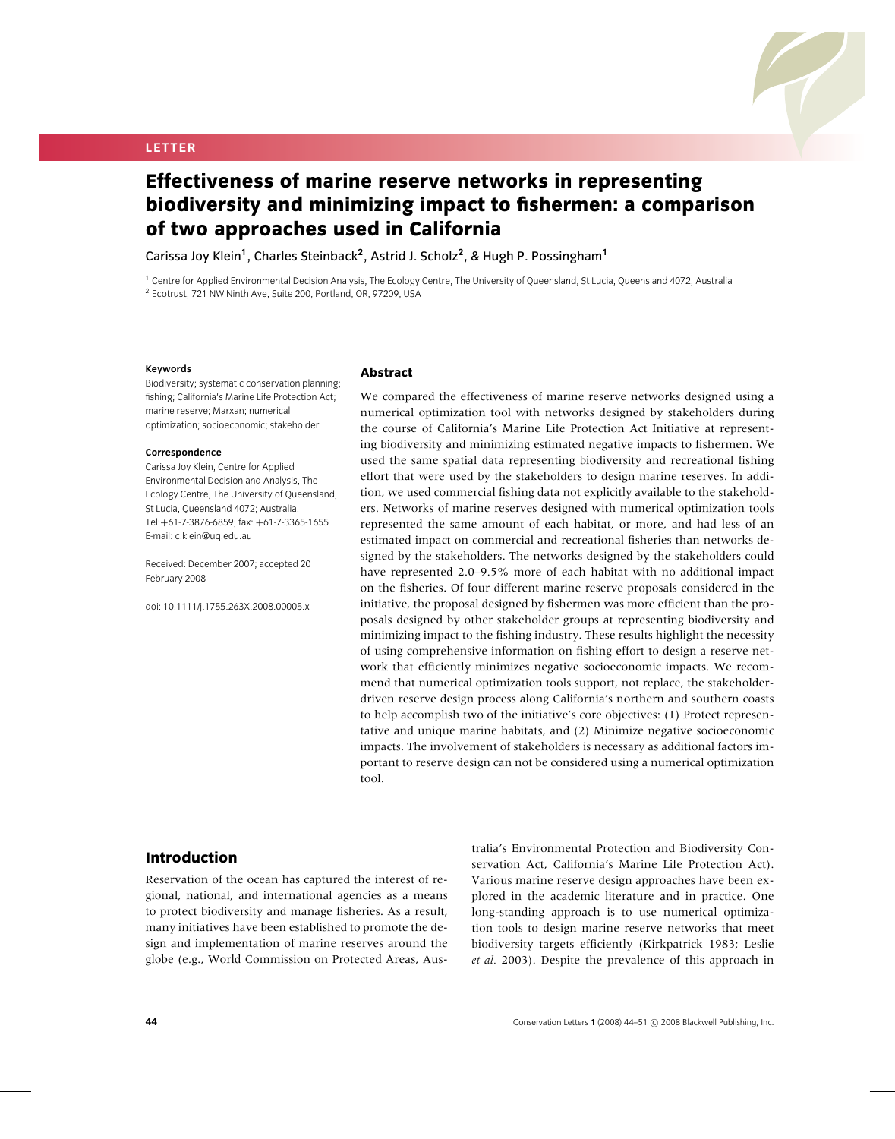# **LETTER**



# **Effectiveness of marine reserve networks in representing biodiversity and minimizing impact to fishermen: a comparison of two approaches used in California**

Carissa Joy Klein**<sup>1</sup>**, Charles Steinback**<sup>2</sup>**, Astrid J. Scholz**<sup>2</sup>**, & Hugh P. Possingham**<sup>1</sup>**

<sup>1</sup> Centre for Applied Environmental Decision Analysis, The Ecology Centre, The University of Queensland, St Lucia, Queensland 4072, Australia <sup>2</sup> Ecotrust, 721 NW Ninth Ave, Suite 200, Portland, OR, 97209, USA

#### **Keywords**

Biodiversity; systematic conservation planning; fishing; California's Marine Life Protection Act; marine reserve; Marxan; numerical optimization; socioeconomic; stakeholder.

#### **Correspondence**

Carissa Joy Klein, Centre for Applied Environmental Decision and Analysis, The Ecology Centre, The University of Queensland, St Lucia, Queensland 4072; Australia. Tel:+61-7-3876-6859; fax: +61-7-3365-1655. E-mail: c.klein@uq.edu.au

Received: December 2007; accepted 20 February 2008

doi: 10.1111/j.1755.263X.2008.00005.x

#### **Abstract**

We compared the effectiveness of marine reserve networks designed using a numerical optimization tool with networks designed by stakeholders during the course of California's Marine Life Protection Act Initiative at representing biodiversity and minimizing estimated negative impacts to fishermen. We used the same spatial data representing biodiversity and recreational fishing effort that were used by the stakeholders to design marine reserves. In addition, we used commercial fishing data not explicitly available to the stakeholders. Networks of marine reserves designed with numerical optimization tools represented the same amount of each habitat, or more, and had less of an estimated impact on commercial and recreational fisheries than networks designed by the stakeholders. The networks designed by the stakeholders could have represented 2.0–9.5% more of each habitat with no additional impact on the fisheries. Of four different marine reserve proposals considered in the initiative, the proposal designed by fishermen was more efficient than the proposals designed by other stakeholder groups at representing biodiversity and minimizing impact to the fishing industry. These results highlight the necessity of using comprehensive information on fishing effort to design a reserve network that efficiently minimizes negative socioeconomic impacts. We recommend that numerical optimization tools support, not replace, the stakeholderdriven reserve design process along California's northern and southern coasts to help accomplish two of the initiative's core objectives: (1) Protect representative and unique marine habitats, and (2) Minimize negative socioeconomic impacts. The involvement of stakeholders is necessary as additional factors important to reserve design can not be considered using a numerical optimization tool.

# **Introduction**

Reservation of the ocean has captured the interest of regional, national, and international agencies as a means to protect biodiversity and manage fisheries. As a result, many initiatives have been established to promote the design and implementation of marine reserves around the globe (e.g., World Commission on Protected Areas, Australia's Environmental Protection and Biodiversity Conservation Act, California's Marine Life Protection Act). Various marine reserve design approaches have been explored in the academic literature and in practice. One long-standing approach is to use numerical optimization tools to design marine reserve networks that meet biodiversity targets efficiently (Kirkpatrick 1983; Leslie *et al.* 2003). Despite the prevalence of this approach in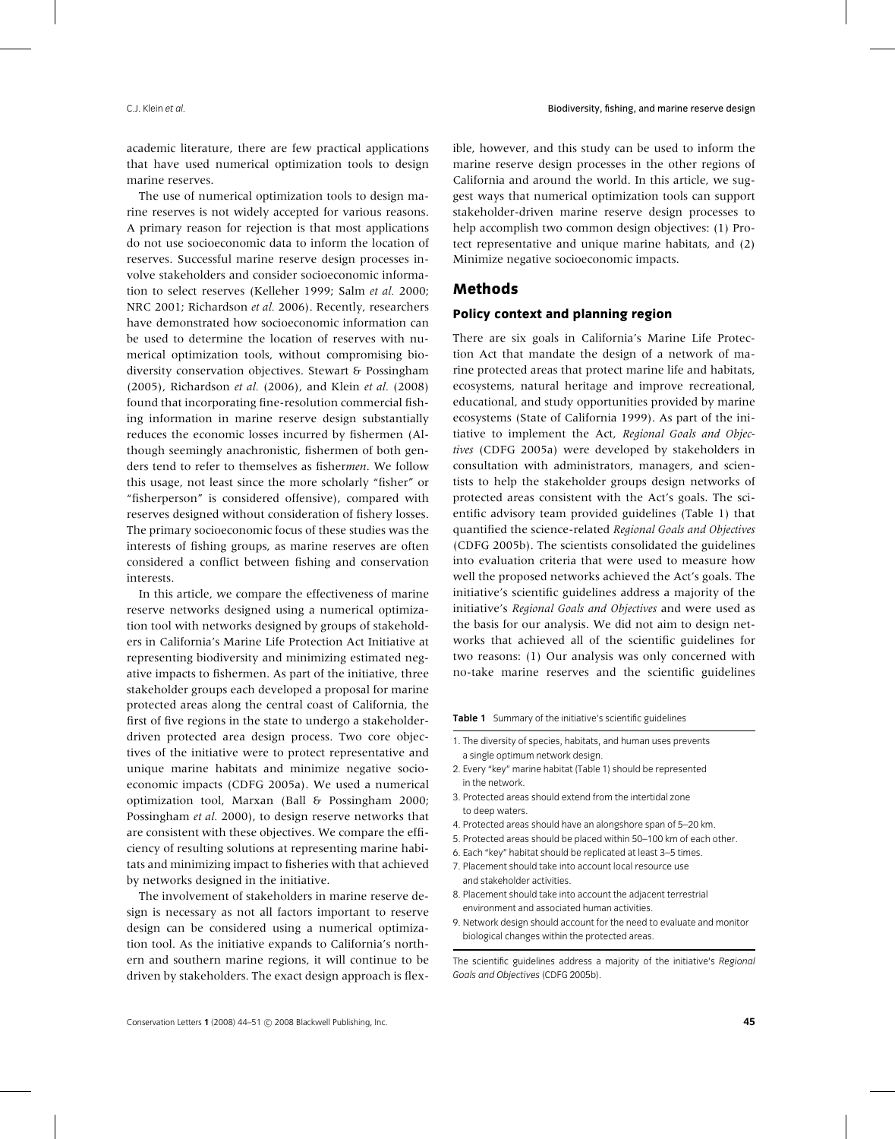academic literature, there are few practical applications that have used numerical optimization tools to design marine reserves.

The use of numerical optimization tools to design marine reserves is not widely accepted for various reasons. A primary reason for rejection is that most applications do not use socioeconomic data to inform the location of reserves. Successful marine reserve design processes involve stakeholders and consider socioeconomic information to select reserves (Kelleher 1999; Salm *et al.* 2000; NRC 2001; Richardson *et al.* 2006). Recently, researchers have demonstrated how socioeconomic information can be used to determine the location of reserves with numerical optimization tools, without compromising biodiversity conservation objectives. Stewart & Possingham (2005), Richardson *et al.* (2006), and Klein *et al.* (2008) found that incorporating fine-resolution commercial fishing information in marine reserve design substantially reduces the economic losses incurred by fishermen (Although seemingly anachronistic, fishermen of both genders tend to refer to themselves as fisher*men*. We follow this usage, not least since the more scholarly "fisher" or "fisherperson" is considered offensive), compared with reserves designed without consideration of fishery losses. The primary socioeconomic focus of these studies was the interests of fishing groups, as marine reserves are often considered a conflict between fishing and conservation interests.

In this article, we compare the effectiveness of marine reserve networks designed using a numerical optimization tool with networks designed by groups of stakeholders in California's Marine Life Protection Act Initiative at representing biodiversity and minimizing estimated negative impacts to fishermen. As part of the initiative, three stakeholder groups each developed a proposal for marine protected areas along the central coast of California, the first of five regions in the state to undergo a stakeholderdriven protected area design process. Two core objectives of the initiative were to protect representative and unique marine habitats and minimize negative socioeconomic impacts (CDFG 2005a). We used a numerical optimization tool, Marxan (Ball & Possingham 2000; Possingham *et al.* 2000), to design reserve networks that are consistent with these objectives. We compare the efficiency of resulting solutions at representing marine habitats and minimizing impact to fisheries with that achieved by networks designed in the initiative.

The involvement of stakeholders in marine reserve design is necessary as not all factors important to reserve design can be considered using a numerical optimization tool. As the initiative expands to California's northern and southern marine regions, it will continue to be driven by stakeholders. The exact design approach is flexible, however, and this study can be used to inform the marine reserve design processes in the other regions of California and around the world. In this article, we suggest ways that numerical optimization tools can support stakeholder-driven marine reserve design processes to help accomplish two common design objectives: (1) Protect representative and unique marine habitats, and (2) Minimize negative socioeconomic impacts.

#### **Methods**

#### **Policy context and planning region**

There are six goals in California's Marine Life Protection Act that mandate the design of a network of marine protected areas that protect marine life and habitats, ecosystems, natural heritage and improve recreational, educational, and study opportunities provided by marine ecosystems (State of California 1999). As part of the initiative to implement the Act, *Regional Goals and Objectives* (CDFG 2005a) were developed by stakeholders in consultation with administrators, managers, and scientists to help the stakeholder groups design networks of protected areas consistent with the Act's goals. The scientific advisory team provided guidelines (Table 1) that quantified the science-related *Regional Goals and Objectives* (CDFG 2005b). The scientists consolidated the guidelines into evaluation criteria that were used to measure how well the proposed networks achieved the Act's goals. The initiative's scientific guidelines address a majority of the initiative's *Regional Goals and Objectives* and were used as the basis for our analysis. We did not aim to design networks that achieved all of the scientific guidelines for two reasons: (1) Our analysis was only concerned with no-take marine reserves and the scientific guidelines

**Table 1** Summary of the initiative's scientific guidelines

- 1. The diversity of species, habitats, and human uses prevents a single optimum network design.
- 2. Every "key" marine habitat (Table 1) should be represented in the network.
- 3. Protected areas should extend from the intertidal zone to deep waters.
- 4. Protected areas should have an alongshore span of 5–20 km.
- 5. Protected areas should be placed within 50–100 km of each other.
- 6. Each "key" habitat should be replicated at least 3–5 times.
- 7. Placement should take into account local resource use and stakeholder activities.
- 8. Placement should take into account the adjacent terrestrial environment and associated human activities.
- 9. Network design should account for the need to evaluate and monitor biological changes within the protected areas.

The scientific guidelines address a majority of the initiative's *Regional Goals and Objectives* (CDFG 2005b).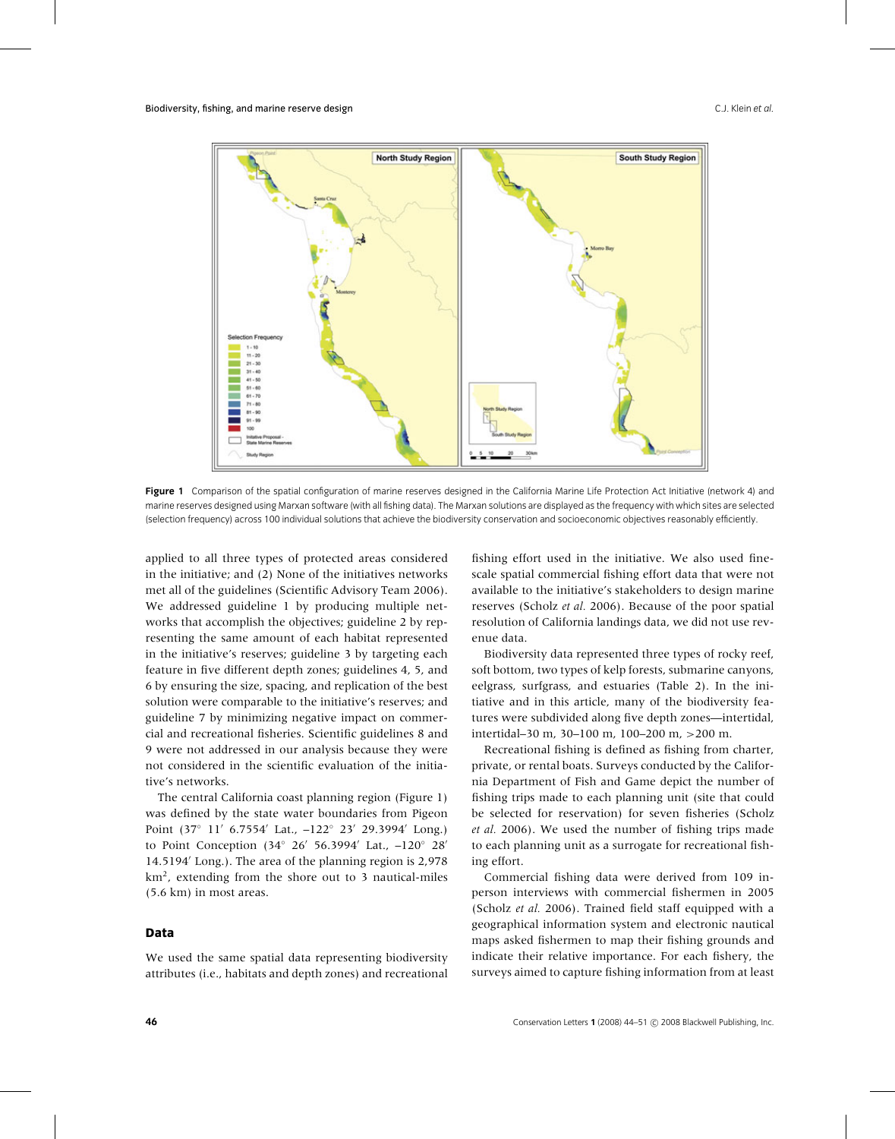

Figure 1 Comparison of the spatial configuration of marine reserves designed in the California Marine Life Protection Act Initiative (network 4) and marine reserves designed using Marxan software (with all fishing data). The Marxan solutions are displayed as the frequency with which sites are selected (selection frequency) across 100 individual solutions that achieve the biodiversity conservation and socioeconomic objectives reasonably efficiently.

applied to all three types of protected areas considered in the initiative; and (2) None of the initiatives networks met all of the guidelines (Scientific Advisory Team 2006). We addressed guideline 1 by producing multiple networks that accomplish the objectives; guideline 2 by representing the same amount of each habitat represented in the initiative's reserves; guideline 3 by targeting each feature in five different depth zones; guidelines 4, 5, and 6 by ensuring the size, spacing, and replication of the best solution were comparable to the initiative's reserves; and guideline 7 by minimizing negative impact on commercial and recreational fisheries. Scientific guidelines 8 and 9 were not addressed in our analysis because they were not considered in the scientific evaluation of the initiative's networks.

The central California coast planning region (Figure 1) was defined by the state water boundaries from Pigeon Point (37° 11′ 6.7554′ Lat., -122° 23′ 29.3994′ Long.) to Point Conception (34° 26' 56.3994' Lat., -120° 28' 14.5194 Long.). The area of the planning region is 2,978 km2, extending from the shore out to 3 nautical-miles (5.6 km) in most areas.

#### **Data**

We used the same spatial data representing biodiversity attributes (i.e., habitats and depth zones) and recreational

fishing effort used in the initiative. We also used finescale spatial commercial fishing effort data that were not available to the initiative's stakeholders to design marine reserves (Scholz *et al.* 2006). Because of the poor spatial resolution of California landings data, we did not use revenue data.

Biodiversity data represented three types of rocky reef, soft bottom, two types of kelp forests, submarine canyons, eelgrass, surfgrass, and estuaries (Table 2). In the initiative and in this article, many of the biodiversity features were subdivided along five depth zones—intertidal, intertidal–30 m, 30–100 m, 100–200 m, >200 m.

Recreational fishing is defined as fishing from charter, private, or rental boats. Surveys conducted by the California Department of Fish and Game depict the number of fishing trips made to each planning unit (site that could be selected for reservation) for seven fisheries (Scholz *et al.* 2006). We used the number of fishing trips made to each planning unit as a surrogate for recreational fishing effort.

Commercial fishing data were derived from 109 inperson interviews with commercial fishermen in 2005 (Scholz *et al.* 2006). Trained field staff equipped with a geographical information system and electronic nautical maps asked fishermen to map their fishing grounds and indicate their relative importance. For each fishery, the surveys aimed to capture fishing information from at least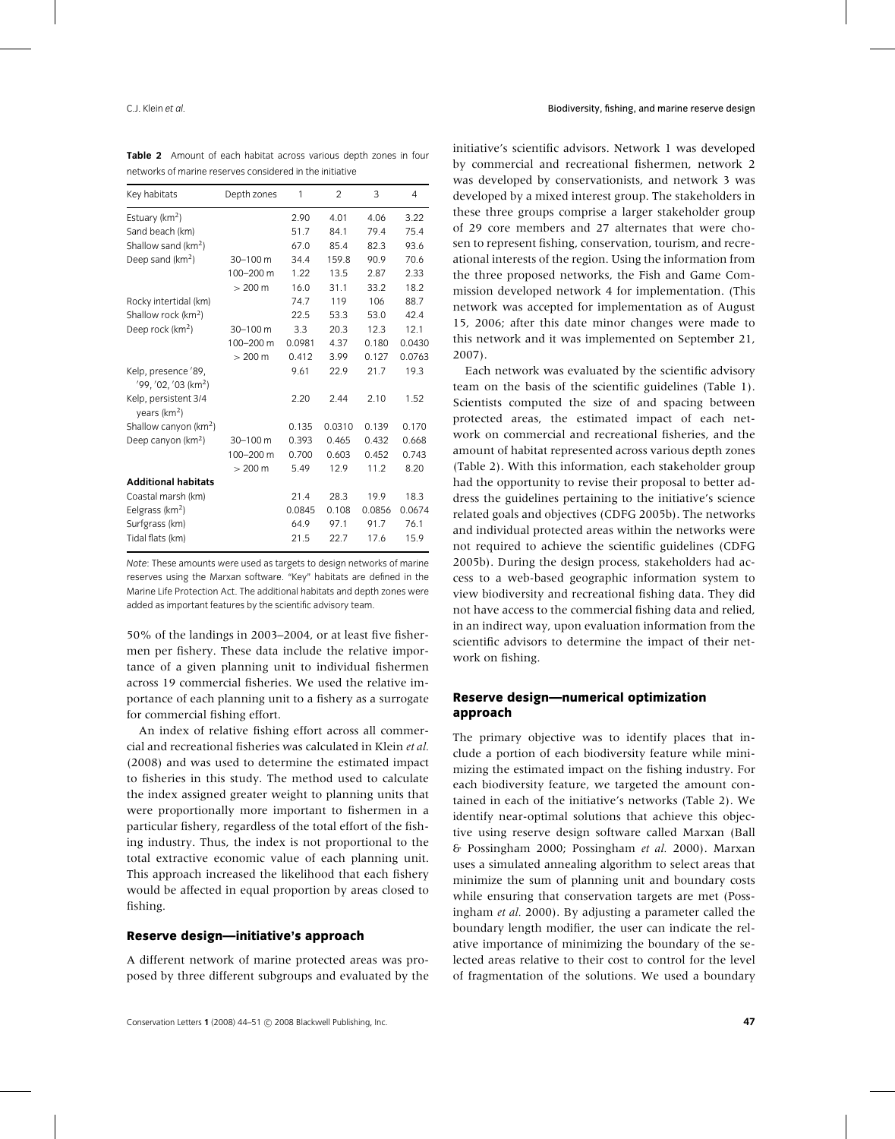| Key habitats                                            | Depth zones          | 1      | $\overline{2}$ | 3      | 4      |
|---------------------------------------------------------|----------------------|--------|----------------|--------|--------|
| Estuary ( $km2$ )                                       |                      | 2.90   | 4.01           | 4.06   | 3.22   |
| Sand beach (km)                                         |                      | 51.7   | 84.1           | 79.4   | 75.4   |
| Shallow sand (km <sup>2</sup> )                         |                      | 67.0   | 85.4           | 82.3   | 93.6   |
| Deep sand $(km2)$                                       | 30-100 m             | 34.4   | 159.8          | 90.9   | 70.6   |
|                                                         | 100-200 m            | 1.22   | 13.5           | 2.87   | 2.33   |
|                                                         | $> 200 \,\mathrm{m}$ | 16.0   | 31.1           | 33.2   | 18.2   |
| Rocky intertidal (km)                                   |                      | 74.7   | 119            | 106    | 88.7   |
| Shallow rock (km <sup>2</sup> )                         |                      | 22.5   | 53.3           | 53.0   | 42.4   |
| Deep rock ( $km2$ )                                     | 30-100 m             | 3.3    | 20.3           | 12.3   | 12.1   |
|                                                         | 100-200 m            | 0.0981 | 4.37           | 0.180  | 0.0430 |
|                                                         | $> 200 \,\mathrm{m}$ | 0.412  | 3.99           | 0.127  | 0.0763 |
| Kelp, presence '89,<br>'99, '02, '03 (km <sup>2</sup> ) |                      | 9.61   | 22.9           | 21.7   | 19.3   |
| Kelp, persistent 3/4<br>years (km <sup>2</sup> )        |                      | 2.20   | 2.44           | 2.10   | 1.52   |
| Shallow canyon (km <sup>2</sup> )                       |                      | 0.135  | 0.0310         | 0.139  | 0.170  |
| Deep canyon (km <sup>2</sup> )                          | 30-100 m             | 0.393  | 0.465          | 0.432  | 0.668  |
|                                                         | 100-200 m            | 0.700  | 0.603          | 0.452  | 0.743  |
|                                                         | $> 200 \,\mathrm{m}$ | 5.49   | 12.9           | 11.2   | 8.20   |
| <b>Additional habitats</b>                              |                      |        |                |        |        |
| Coastal marsh (km)                                      |                      | 21.4   | 28.3           | 19.9   | 18.3   |
| Eelgrass (km <sup>2</sup> )                             |                      | 0.0845 | 0.108          | 0.0856 | 0.0674 |
| Surfgrass (km)                                          |                      | 64.9   | 97.1           | 91.7   | 76.1   |
| Tidal flats (km)                                        |                      | 21.5   | 22.7           | 17.6   | 15.9   |

**Table 2** Amount of each habitat across various depth zones in four networks of marine reserves considered in the initiative

*Note*: These amounts were used as targets to design networks of marine reserves using the Marxan software. "Key" habitats are defined in the Marine Life Protection Act. The additional habitats and depth zones were added as important features by the scientific advisory team.

50% of the landings in 2003–2004, or at least five fishermen per fishery. These data include the relative importance of a given planning unit to individual fishermen across 19 commercial fisheries. We used the relative importance of each planning unit to a fishery as a surrogate for commercial fishing effort.

An index of relative fishing effort across all commercial and recreational fisheries was calculated in Klein *et al.* (2008) and was used to determine the estimated impact to fisheries in this study. The method used to calculate the index assigned greater weight to planning units that were proportionally more important to fishermen in a particular fishery, regardless of the total effort of the fishing industry. Thus, the index is not proportional to the total extractive economic value of each planning unit. This approach increased the likelihood that each fishery would be affected in equal proportion by areas closed to fishing.

# **Reserve design—initiative's approach**

A different network of marine protected areas was proposed by three different subgroups and evaluated by the initiative's scientific advisors. Network 1 was developed by commercial and recreational fishermen, network 2 was developed by conservationists, and network 3 was developed by a mixed interest group. The stakeholders in these three groups comprise a larger stakeholder group of 29 core members and 27 alternates that were chosen to represent fishing, conservation, tourism, and recreational interests of the region. Using the information from the three proposed networks, the Fish and Game Commission developed network 4 for implementation. (This network was accepted for implementation as of August 15, 2006; after this date minor changes were made to this network and it was implemented on September 21, 2007).

Each network was evaluated by the scientific advisory team on the basis of the scientific guidelines (Table 1). Scientists computed the size of and spacing between protected areas, the estimated impact of each network on commercial and recreational fisheries, and the amount of habitat represented across various depth zones (Table 2). With this information, each stakeholder group had the opportunity to revise their proposal to better address the guidelines pertaining to the initiative's science related goals and objectives (CDFG 2005b). The networks and individual protected areas within the networks were not required to achieve the scientific guidelines (CDFG 2005b). During the design process, stakeholders had access to a web-based geographic information system to view biodiversity and recreational fishing data. They did not have access to the commercial fishing data and relied, in an indirect way, upon evaluation information from the scientific advisors to determine the impact of their network on fishing.

## **Reserve design—numerical optimization approach**

The primary objective was to identify places that include a portion of each biodiversity feature while minimizing the estimated impact on the fishing industry. For each biodiversity feature, we targeted the amount contained in each of the initiative's networks (Table 2). We identify near-optimal solutions that achieve this objective using reserve design software called Marxan (Ball & Possingham 2000; Possingham *et al.* 2000). Marxan uses a simulated annealing algorithm to select areas that minimize the sum of planning unit and boundary costs while ensuring that conservation targets are met (Possingham *et al.* 2000). By adjusting a parameter called the boundary length modifier, the user can indicate the relative importance of minimizing the boundary of the selected areas relative to their cost to control for the level of fragmentation of the solutions. We used a boundary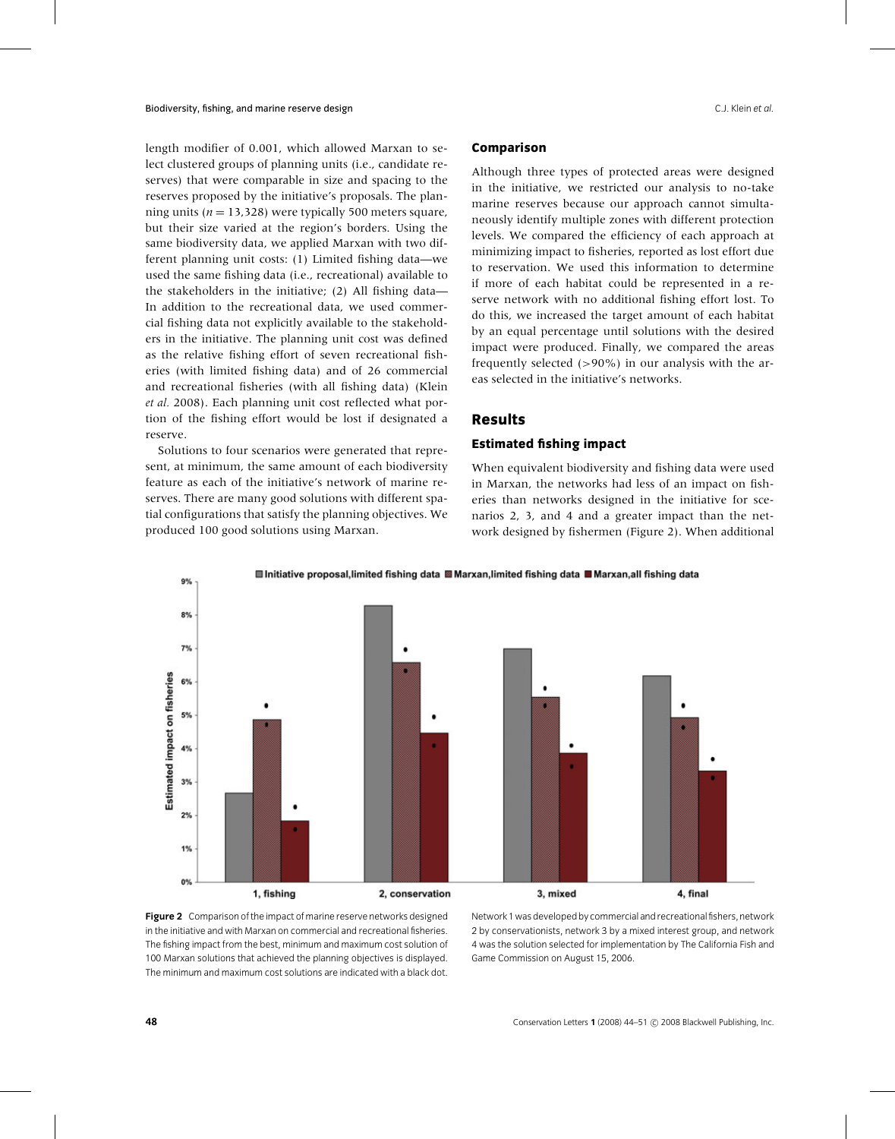length modifier of 0.001, which allowed Marxan to select clustered groups of planning units (i.e., candidate reserves) that were comparable in size and spacing to the reserves proposed by the initiative's proposals. The planning units ( $n = 13,328$ ) were typically 500 meters square, but their size varied at the region's borders. Using the same biodiversity data, we applied Marxan with two different planning unit costs: (1) Limited fishing data—we used the same fishing data (i.e., recreational) available to the stakeholders in the initiative; (2) All fishing data— In addition to the recreational data, we used commercial fishing data not explicitly available to the stakeholders in the initiative. The planning unit cost was defined as the relative fishing effort of seven recreational fisheries (with limited fishing data) and of 26 commercial and recreational fisheries (with all fishing data) (Klein *et al.* 2008). Each planning unit cost reflected what portion of the fishing effort would be lost if designated a reserve.

Solutions to four scenarios were generated that represent, at minimum, the same amount of each biodiversity feature as each of the initiative's network of marine reserves. There are many good solutions with different spatial configurations that satisfy the planning objectives. We produced 100 good solutions using Marxan.

#### **Comparison**

Although three types of protected areas were designed in the initiative, we restricted our analysis to no-take marine reserves because our approach cannot simultaneously identify multiple zones with different protection levels. We compared the efficiency of each approach at minimizing impact to fisheries, reported as lost effort due to reservation. We used this information to determine if more of each habitat could be represented in a reserve network with no additional fishing effort lost. To do this, we increased the target amount of each habitat by an equal percentage until solutions with the desired impact were produced. Finally, we compared the areas frequently selected  $(>90\%)$  in our analysis with the areas selected in the initiative's networks.

# **Results**

# **Estimated fishing impact**

When equivalent biodiversity and fishing data were used in Marxan, the networks had less of an impact on fisheries than networks designed in the initiative for scenarios 2, 3, and 4 and a greater impact than the network designed by fishermen (Figure 2). When additional



**Figure 2** Comparison of the impact of marine reserve networks designed in the initiative and with Marxan on commercial and recreational fisheries. The fishing impact from the best, minimum and maximum cost solution of 100 Marxan solutions that achieved the planning objectives is displayed. The minimum and maximum cost solutions are indicated with a black dot.

Network 1 was developed by commercial and recreational fishers, network 2 by conservationists, network 3 by a mixed interest group, and network 4 was the solution selected for implementation by The California Fish and Game Commission on August 15, 2006.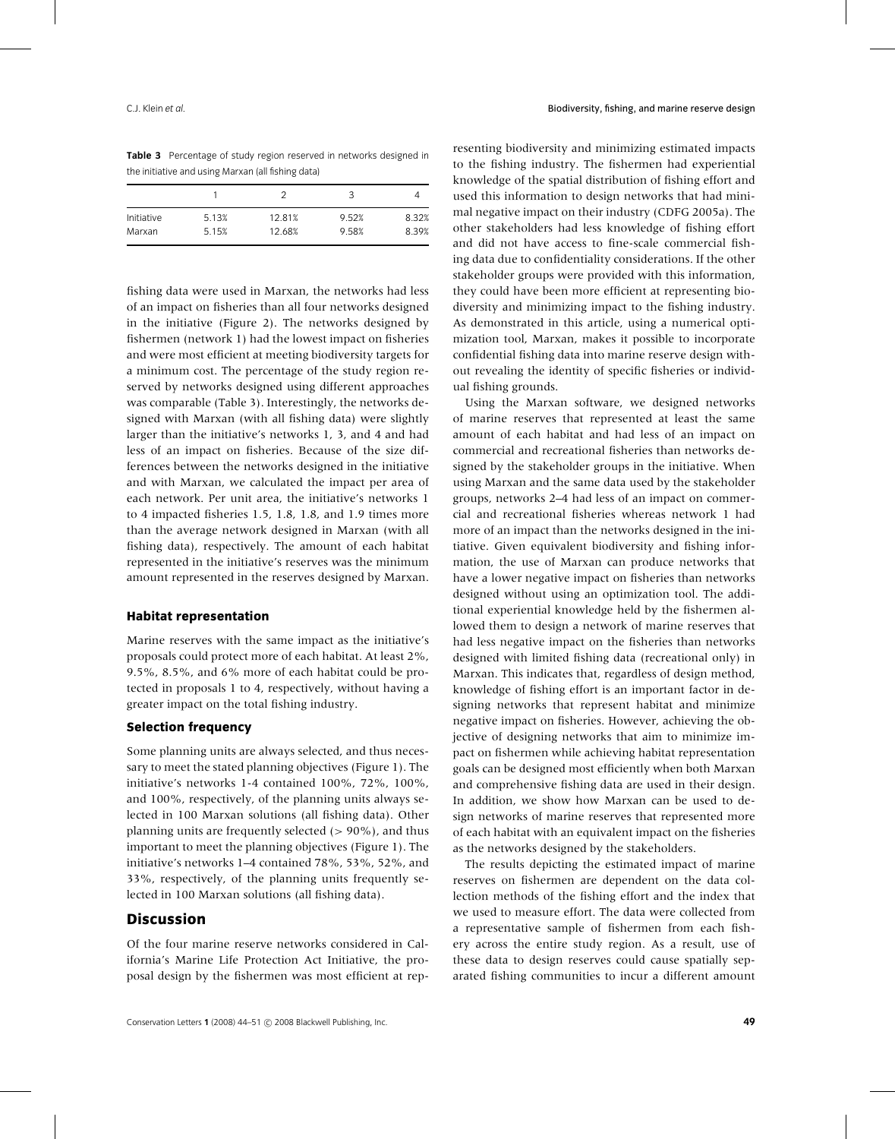**Table 3** Percentage of study region reserved in networks designed in the initiative and using Marxan (all fishing data)

|            |       |        | 3     |       |
|------------|-------|--------|-------|-------|
| Initiative | 5.13% | 12.81% | 9.52% | 8.32% |
| Marxan     | 5.15% | 12.68% | 9.58% | 8.39% |

fishing data were used in Marxan, the networks had less of an impact on fisheries than all four networks designed in the initiative (Figure 2). The networks designed by fishermen (network 1) had the lowest impact on fisheries and were most efficient at meeting biodiversity targets for a minimum cost. The percentage of the study region reserved by networks designed using different approaches was comparable (Table 3). Interestingly, the networks designed with Marxan (with all fishing data) were slightly larger than the initiative's networks 1, 3, and 4 and had less of an impact on fisheries. Because of the size differences between the networks designed in the initiative and with Marxan, we calculated the impact per area of each network. Per unit area, the initiative's networks 1 to 4 impacted fisheries 1.5, 1.8, 1.8, and 1.9 times more than the average network designed in Marxan (with all fishing data), respectively. The amount of each habitat represented in the initiative's reserves was the minimum amount represented in the reserves designed by Marxan.

## **Habitat representation**

Marine reserves with the same impact as the initiative's proposals could protect more of each habitat. At least 2%, 9.5%, 8.5%, and 6% more of each habitat could be protected in proposals 1 to 4, respectively, without having a greater impact on the total fishing industry.

#### **Selection frequency**

Some planning units are always selected, and thus necessary to meet the stated planning objectives (Figure 1). The initiative's networks 1-4 contained 100%, 72%, 100%, and 100%, respectively, of the planning units always selected in 100 Marxan solutions (all fishing data). Other planning units are frequently selected  $(> 90\%)$ , and thus important to meet the planning objectives (Figure 1). The initiative's networks 1–4 contained 78%, 53%, 52%, and 33%, respectively, of the planning units frequently selected in 100 Marxan solutions (all fishing data).

# **Discussion**

Of the four marine reserve networks considered in California's Marine Life Protection Act Initiative, the proposal design by the fishermen was most efficient at representing biodiversity and minimizing estimated impacts to the fishing industry. The fishermen had experiential knowledge of the spatial distribution of fishing effort and used this information to design networks that had minimal negative impact on their industry (CDFG 2005a). The other stakeholders had less knowledge of fishing effort and did not have access to fine-scale commercial fishing data due to confidentiality considerations. If the other stakeholder groups were provided with this information, they could have been more efficient at representing biodiversity and minimizing impact to the fishing industry. As demonstrated in this article, using a numerical optimization tool, Marxan, makes it possible to incorporate confidential fishing data into marine reserve design without revealing the identity of specific fisheries or individual fishing grounds.

Using the Marxan software, we designed networks of marine reserves that represented at least the same amount of each habitat and had less of an impact on commercial and recreational fisheries than networks designed by the stakeholder groups in the initiative. When using Marxan and the same data used by the stakeholder groups, networks 2–4 had less of an impact on commercial and recreational fisheries whereas network 1 had more of an impact than the networks designed in the initiative. Given equivalent biodiversity and fishing information, the use of Marxan can produce networks that have a lower negative impact on fisheries than networks designed without using an optimization tool. The additional experiential knowledge held by the fishermen allowed them to design a network of marine reserves that had less negative impact on the fisheries than networks designed with limited fishing data (recreational only) in Marxan. This indicates that, regardless of design method, knowledge of fishing effort is an important factor in designing networks that represent habitat and minimize negative impact on fisheries. However, achieving the objective of designing networks that aim to minimize impact on fishermen while achieving habitat representation goals can be designed most efficiently when both Marxan and comprehensive fishing data are used in their design. In addition, we show how Marxan can be used to design networks of marine reserves that represented more of each habitat with an equivalent impact on the fisheries as the networks designed by the stakeholders.

The results depicting the estimated impact of marine reserves on fishermen are dependent on the data collection methods of the fishing effort and the index that we used to measure effort. The data were collected from a representative sample of fishermen from each fishery across the entire study region. As a result, use of these data to design reserves could cause spatially separated fishing communities to incur a different amount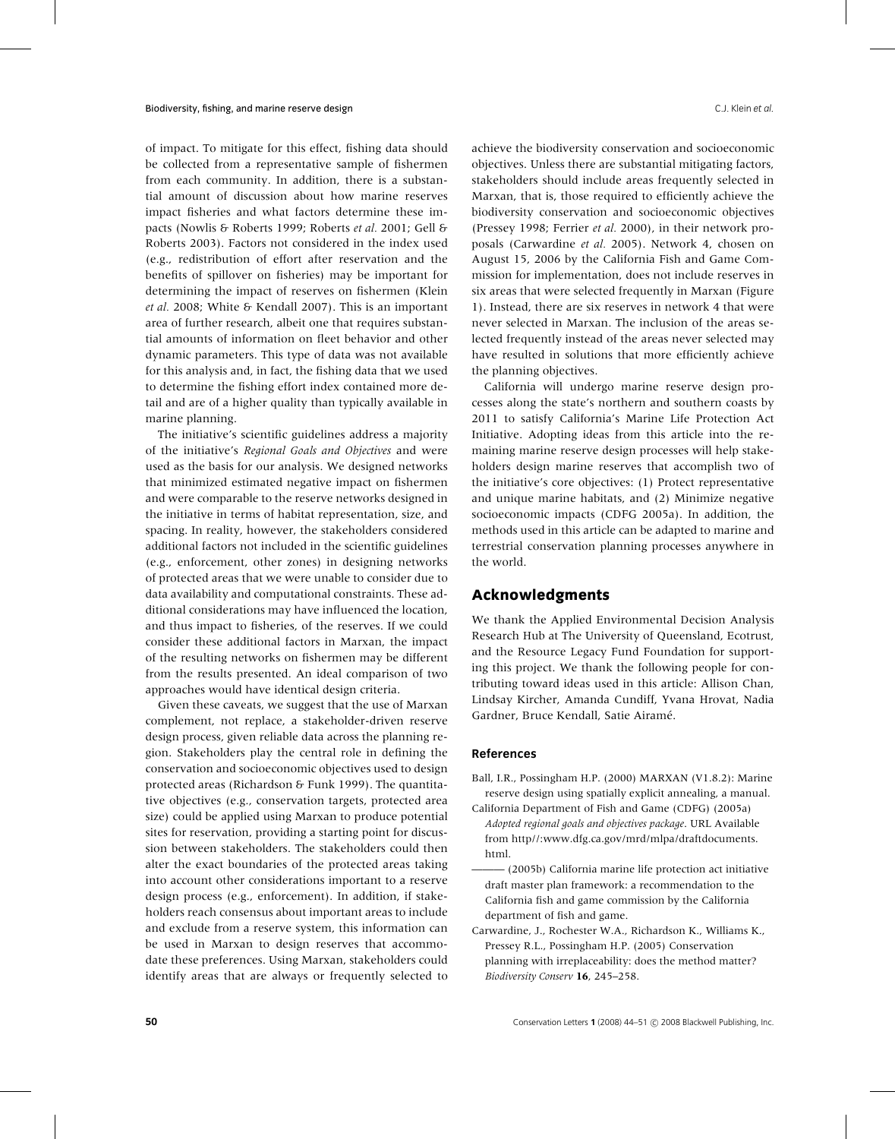of impact. To mitigate for this effect, fishing data should be collected from a representative sample of fishermen from each community. In addition, there is a substantial amount of discussion about how marine reserves impact fisheries and what factors determine these impacts (Nowlis & Roberts 1999; Roberts *et al.* 2001; Gell & Roberts 2003). Factors not considered in the index used (e.g., redistribution of effort after reservation and the benefits of spillover on fisheries) may be important for determining the impact of reserves on fishermen (Klein *et al.* 2008; White & Kendall 2007). This is an important area of further research, albeit one that requires substantial amounts of information on fleet behavior and other dynamic parameters. This type of data was not available for this analysis and, in fact, the fishing data that we used to determine the fishing effort index contained more detail and are of a higher quality than typically available in marine planning.

The initiative's scientific guidelines address a majority of the initiative's *Regional Goals and Objectives* and were used as the basis for our analysis. We designed networks that minimized estimated negative impact on fishermen and were comparable to the reserve networks designed in the initiative in terms of habitat representation, size, and spacing. In reality, however, the stakeholders considered additional factors not included in the scientific guidelines (e.g., enforcement, other zones) in designing networks of protected areas that we were unable to consider due to data availability and computational constraints. These additional considerations may have influenced the location, and thus impact to fisheries, of the reserves. If we could consider these additional factors in Marxan, the impact of the resulting networks on fishermen may be different from the results presented. An ideal comparison of two approaches would have identical design criteria.

Given these caveats, we suggest that the use of Marxan complement, not replace, a stakeholder-driven reserve design process, given reliable data across the planning region. Stakeholders play the central role in defining the conservation and socioeconomic objectives used to design protected areas (Richardson & Funk 1999). The quantitative objectives (e.g., conservation targets, protected area size) could be applied using Marxan to produce potential sites for reservation, providing a starting point for discussion between stakeholders. The stakeholders could then alter the exact boundaries of the protected areas taking into account other considerations important to a reserve design process (e.g., enforcement). In addition, if stakeholders reach consensus about important areas to include and exclude from a reserve system, this information can be used in Marxan to design reserves that accommodate these preferences. Using Marxan, stakeholders could identify areas that are always or frequently selected to achieve the biodiversity conservation and socioeconomic objectives. Unless there are substantial mitigating factors, stakeholders should include areas frequently selected in Marxan, that is, those required to efficiently achieve the biodiversity conservation and socioeconomic objectives (Pressey 1998; Ferrier *et al.* 2000), in their network proposals (Carwardine *et al.* 2005). Network 4, chosen on August 15, 2006 by the California Fish and Game Commission for implementation, does not include reserves in six areas that were selected frequently in Marxan (Figure 1). Instead, there are six reserves in network 4 that were never selected in Marxan. The inclusion of the areas selected frequently instead of the areas never selected may have resulted in solutions that more efficiently achieve the planning objectives.

California will undergo marine reserve design processes along the state's northern and southern coasts by 2011 to satisfy California's Marine Life Protection Act Initiative. Adopting ideas from this article into the remaining marine reserve design processes will help stakeholders design marine reserves that accomplish two of the initiative's core objectives: (1) Protect representative and unique marine habitats, and (2) Minimize negative socioeconomic impacts (CDFG 2005a). In addition, the methods used in this article can be adapted to marine and terrestrial conservation planning processes anywhere in the world.

# **Acknowledgments**

We thank the Applied Environmental Decision Analysis Research Hub at The University of Queensland, Ecotrust, and the Resource Legacy Fund Foundation for supporting this project. We thank the following people for contributing toward ideas used in this article: Allison Chan, Lindsay Kircher, Amanda Cundiff, Yvana Hrovat, Nadia Gardner, Bruce Kendall, Satie Airamé.

#### **References**

- Ball, I.R., Possingham H.P. (2000) MARXAN (V1.8.2): Marine reserve design using spatially explicit annealing, a manual.
- California Department of Fish and Game (CDFG) (2005a) *Adopted regional goals and objectives package*. URL Available from http//:www.dfg.ca.gov/mrd/mlpa/draftdocuments. html.
- (2005b) California marine life protection act initiative draft master plan framework: a recommendation to the California fish and game commission by the California department of fish and game.
- Carwardine, J., Rochester W.A., Richardson K., Williams K., Pressey R.L., Possingham H.P. (2005) Conservation planning with irreplaceability: does the method matter? *Biodiversity Conserv* **16**, 245–258.